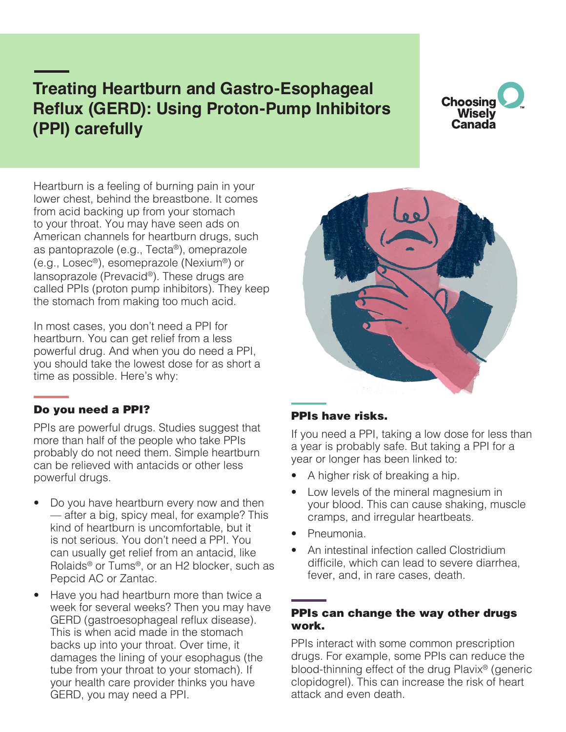# **Treating Heartburn and Gastro-Esophageal Reflux (GERD): Using Proton-Pump Inhibitors (PPI) carefully**

## **Choosing Wisely** Canada

Heartburn is a feeling of burning pain in your lower chest, behind the breastbone. It comes from acid backing up from your stomach to your throat. You may have seen ads on American channels for heartburn drugs, such as pantoprazole (e.g., Tecta®), omeprazole (e.g., Losec®), esomeprazole (Nexium®) or lansoprazole (Prevacid®). These drugs are called PPIs (proton pump inhibitors). They keep the stomach from making too much acid.

In most cases, you don't need a PPI for heartburn. You can get relief from a less powerful drug. And when you do need a PPI, you should take the lowest dose for as short a time as possible. Here's why:

#### Do you need a PPI?

PPIs are powerful drugs. Studies suggest that more than half of the people who take PPIs probably do not need them. Simple heartburn can be relieved with antacids or other less powerful drugs.

- Do you have heartburn every now and then — after a big, spicy meal, for example? This kind of heartburn is uncomfortable, but it is not serious. You don't need a PPI. You can usually get relief from an antacid, like Rolaids® or Tums®, or an H2 blocker, such as Pepcid AC or Zantac.
- Have you had heartburn more than twice a week for several weeks? Then you may have GERD (gastroesophageal reflux disease). This is when acid made in the stomach backs up into your throat. Over time, it damages the lining of your esophagus (the tube from your throat to your stomach). If your health care provider thinks you have GERD, you may need a PPI.

#### PPIs have risks.

If you need a PPI, taking a low dose for less than a year is probably safe. But taking a PPI for a year or longer has been linked to:

- A higher risk of breaking a hip.
- Low levels of the mineral magnesium in your blood. This can cause shaking, muscle cramps, and irregular heartbeats.
- Pneumonia.
- An intestinal infection called Clostridium difficile, which can lead to severe diarrhea, fever, and, in rare cases, death.

#### PPIs can change the way other drugs work.

PPIs interact with some common prescription drugs. For example, some PPIs can reduce the blood-thinning effect of the drug Plavix® (generic clopidogrel). This can increase the risk of heart attack and even death.